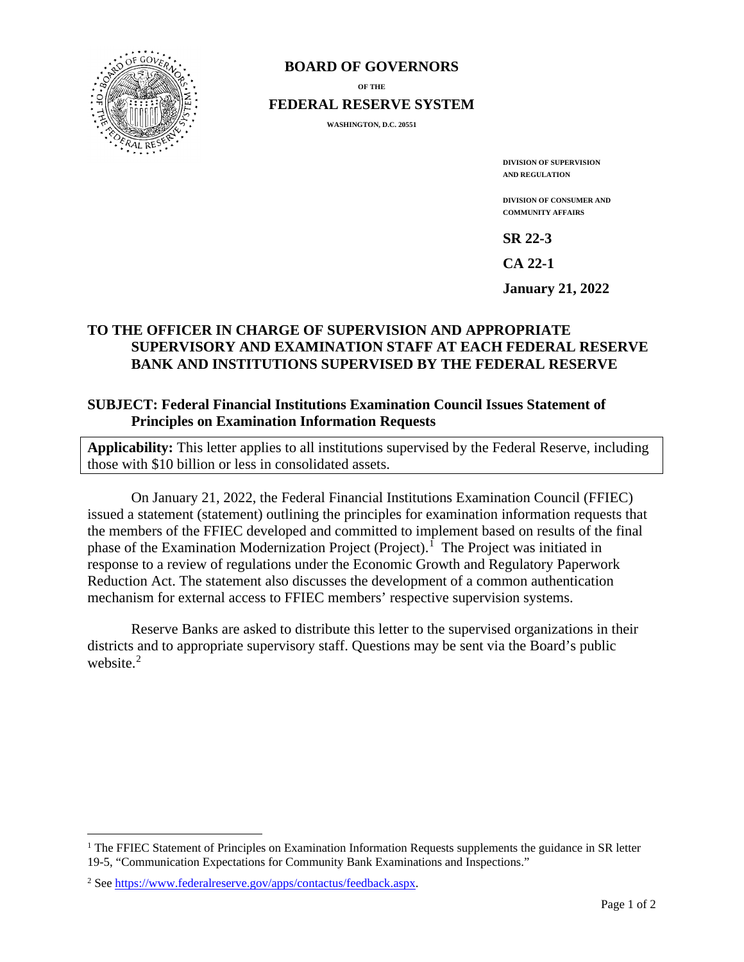

#### **BOARD OF GOVERNORS**

**OF THE**

**FEDERAL RESERVE SYSTEM**

**WASHINGTON, D.C. 20551** 

**DIVISION OF SUPERVISION AND REGULATION**

**DIVISION OF CONSUMER AND COMMUNITY AFFAIRS**

**SR 22-3** 

**CA 22-1** 

**January 21, 2022** 

# **TO THE OFFICER IN CHARGE OF SUPERVISION AND APPROPRIATE SUPERVISORY AND EXAMINATION STAFF AT EACH FEDERAL RESERVE BANK AND INSTITUTIONS SUPERVISED BY THE FEDERAL RESERVE**

### **SUBJECT: Federal Financial Institutions Examination Council Issues Statement of Principles on Examination Information Requests**

**Applicability:** This letter applies to all institutions supervised by the Federal Reserve, including those with \$10 billion or less in consolidated assets.

On January 21, 2022, the Federal Financial Institutions Examination Council (FFIEC) issued a statement (statement) outlining the principles for examination information requests that the members of the FFIEC developed and committed to implement based on results of the final phase of the Examination Modernization Project (Project).<sup>[1](#page-0-0)</sup> The Project was initiated in response to a review of regulations under the Economic Growth and Regulatory Paperwork Reduction Act. The statement also discusses the development of a common authentication mechanism for external access to FFIEC members' respective supervision systems.

Reserve Banks are asked to distribute this letter to the supervised organizations in their districts and to appropriate supervisory staff. Questions may be sent via the Board's public website.<sup>[2](#page-0-1)</sup>

<span id="page-0-0"></span><sup>&</sup>lt;sup>1</sup> The FFIEC Statement of Principles on Examination Information Requests supplements the guidance in SR letter 19-5, "Communication Expectations for Community Bank Examinations and Inspections."

<span id="page-0-1"></span><sup>2</sup> Se[e https://www.federalreserve.gov/apps/contactus/feedback.aspx.](https://www.federalreserve.gov/apps/contactus/feedback.aspx)